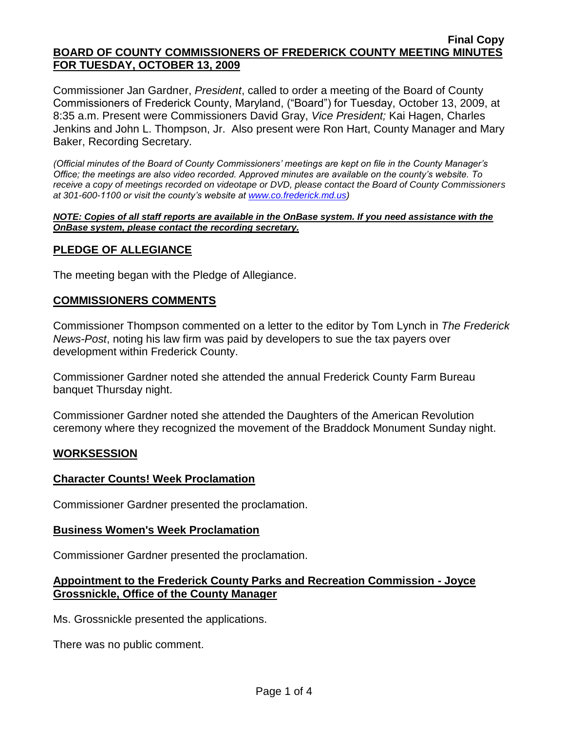Commissioner Jan Gardner, *President*, called to order a meeting of the Board of County Commissioners of Frederick County, Maryland, ("Board") for Tuesday, October 13, 2009, at 8:35 a.m. Present were Commissioners David Gray, *Vice President;* Kai Hagen, Charles Jenkins and John L. Thompson, Jr. Also present were Ron Hart, County Manager and Mary Baker, Recording Secretary.

*(Official minutes of the Board of County Commissioners' meetings are kept on file in the County Manager's Office; the meetings are also video recorded. Approved minutes are available on the county's website. To receive a copy of meetings recorded on videotape or DVD, please contact the Board of County Commissioners at 301-600-1100 or visit the county's website at [www.co.frederick.md.us\)](http://www.co.frederick.md.us/)*

#### *NOTE: Copies of all staff reports are available in the OnBase system. If you need assistance with the OnBase system, please contact the recording secretary.*

# **PLEDGE OF ALLEGIANCE**

The meeting began with the Pledge of Allegiance.

### **COMMISSIONERS COMMENTS**

Commissioner Thompson commented on a letter to the editor by Tom Lynch in *The Frederick News-Post*, noting his law firm was paid by developers to sue the tax payers over development within Frederick County.

Commissioner Gardner noted she attended the annual Frederick County Farm Bureau banquet Thursday night.

Commissioner Gardner noted she attended the Daughters of the American Revolution ceremony where they recognized the movement of the Braddock Monument Sunday night.

### **WORKSESSION**

### **Character Counts! Week Proclamation**

Commissioner Gardner presented the proclamation.

### **Business Women's Week Proclamation**

Commissioner Gardner presented the proclamation.

### **Appointment to the Frederick County Parks and Recreation Commission - Joyce Grossnickle, Office of the County Manager**

Ms. Grossnickle presented the applications.

There was no public comment.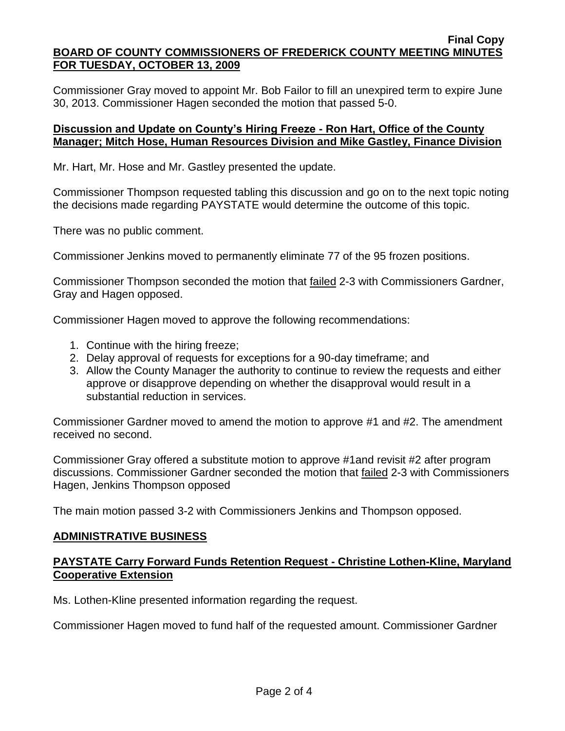Commissioner Gray moved to appoint Mr. Bob Failor to fill an unexpired term to expire June 30, 2013. Commissioner Hagen seconded the motion that passed 5-0.

## **Discussion and Update on County's Hiring Freeze - Ron Hart, Office of the County Manager; Mitch Hose, Human Resources Division and Mike Gastley, Finance Division**

Mr. Hart, Mr. Hose and Mr. Gastley presented the update.

Commissioner Thompson requested tabling this discussion and go on to the next topic noting the decisions made regarding PAYSTATE would determine the outcome of this topic.

There was no public comment.

Commissioner Jenkins moved to permanently eliminate 77 of the 95 frozen positions.

Commissioner Thompson seconded the motion that failed 2-3 with Commissioners Gardner, Gray and Hagen opposed.

Commissioner Hagen moved to approve the following recommendations:

- 1. Continue with the hiring freeze;
- 2. Delay approval of requests for exceptions for a 90-day timeframe; and
- 3. Allow the County Manager the authority to continue to review the requests and either approve or disapprove depending on whether the disapproval would result in a substantial reduction in services.

Commissioner Gardner moved to amend the motion to approve #1 and #2. The amendment received no second.

Commissioner Gray offered a substitute motion to approve #1and revisit #2 after program discussions. Commissioner Gardner seconded the motion that failed 2-3 with Commissioners Hagen, Jenkins Thompson opposed

The main motion passed 3-2 with Commissioners Jenkins and Thompson opposed.

### **ADMINISTRATIVE BUSINESS**

### **PAYSTATE Carry Forward Funds Retention Request - Christine Lothen-Kline, Maryland Cooperative Extension**

Ms. Lothen-Kline presented information regarding the request.

Commissioner Hagen moved to fund half of the requested amount. Commissioner Gardner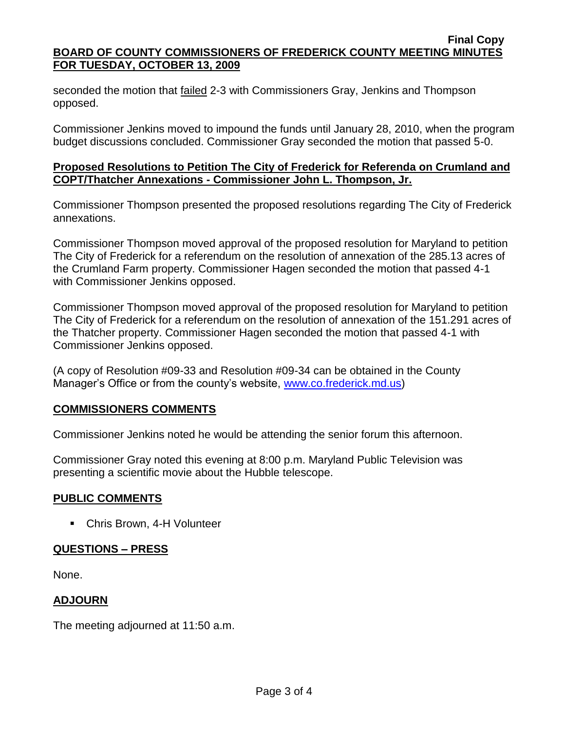seconded the motion that failed 2-3 with Commissioners Gray, Jenkins and Thompson opposed.

Commissioner Jenkins moved to impound the funds until January 28, 2010, when the program budget discussions concluded. Commissioner Gray seconded the motion that passed 5-0.

## **Proposed Resolutions to Petition The City of Frederick for Referenda on Crumland and COPT/Thatcher Annexations - Commissioner John L. Thompson, Jr.**

Commissioner Thompson presented the proposed resolutions regarding The City of Frederick annexations.

Commissioner Thompson moved approval of the proposed resolution for Maryland to petition The City of Frederick for a referendum on the resolution of annexation of the 285.13 acres of the Crumland Farm property. Commissioner Hagen seconded the motion that passed 4-1 with Commissioner Jenkins opposed.

Commissioner Thompson moved approval of the proposed resolution for Maryland to petition The City of Frederick for a referendum on the resolution of annexation of the 151.291 acres of the Thatcher property. Commissioner Hagen seconded the motion that passed 4-1 with Commissioner Jenkins opposed.

(A copy of Resolution #09-33 and Resolution #09-34 can be obtained in the County Manager's Office or from the county's website, [www.co.frederick.md.us\)](www.co.frederick.md.us)

### **COMMISSIONERS COMMENTS**

Commissioner Jenkins noted he would be attending the senior forum this afternoon.

Commissioner Gray noted this evening at 8:00 p.m. Maryland Public Television was presenting a scientific movie about the Hubble telescope.

### **PUBLIC COMMENTS**

Chris Brown, 4-H Volunteer

### **QUESTIONS – PRESS**

None.

### **ADJOURN**

The meeting adjourned at 11:50 a.m.